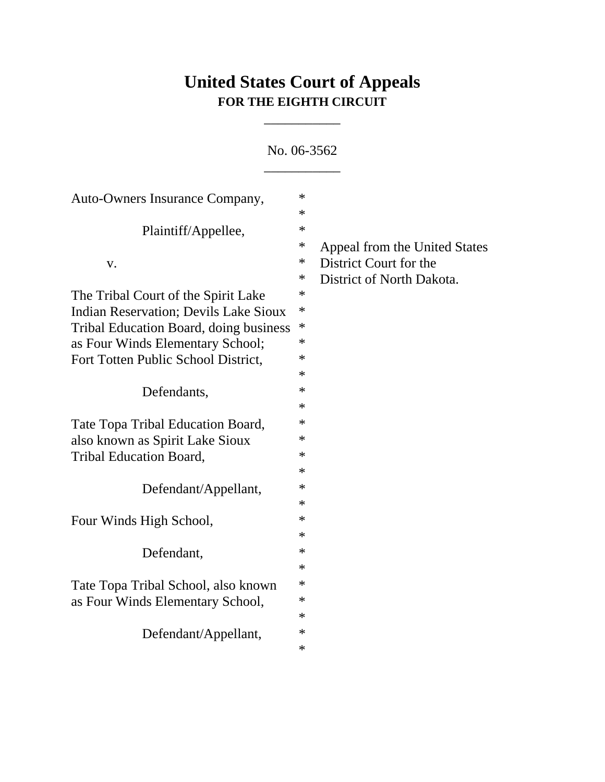# **United States Court of Appeals FOR THE EIGHTH CIRCUIT**

\_\_\_\_\_\_\_\_\_\_\_

\_\_\_\_\_\_\_\_\_\_\_ Auto-Owners Insurance Company,  $*$ \* Plaintiff/Appellee,  $*$ \* Appeal from the United States v.  $\bullet$  District Court for the \* District of North Dakota. The Tribal Court of the Spirit Lake  $*$ Indian Reservation; Devils Lake Sioux \* Tribal Education Board, doing business \* as Four Winds Elementary School; \* Fort Totten Public School District.  $*$ \* Defendants,  $*$ \* Tate Topa Tribal Education Board,  $*$ also known as Spirit Lake Sioux  $*$ Tribal Education Board,  $*$ \* Defendant/Appellant, \* \* Four Winds High School,  $*$ \* Defendant,  $*$ \* Tate Topa Tribal School, also known \* as Four Winds Elementary School, \* \* Defendant/Appellant,  $*$ 

\*

No. 06-3562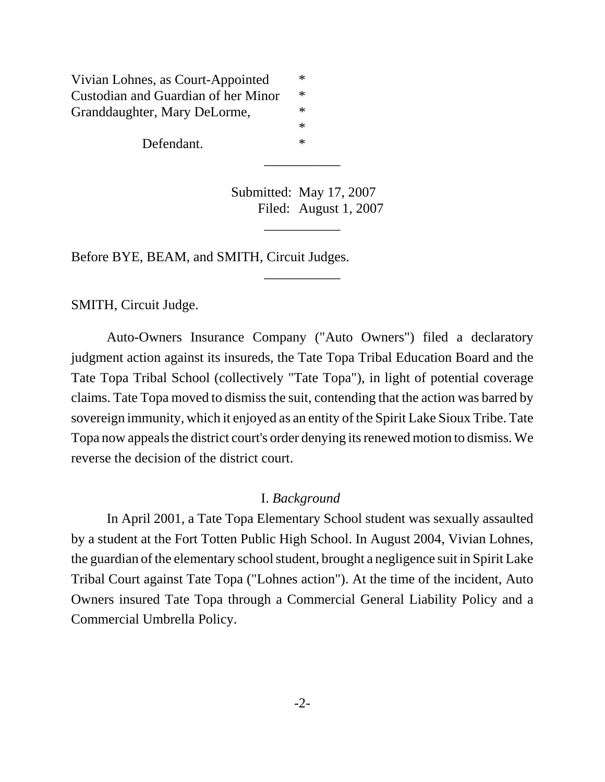Vivian Lohnes, as Court-Appointed \* Custodian and Guardian of her Minor \* Granddaughter, Mary DeLorme,  $*$ \*

Defendant.  $*$ 

Submitted: May 17, 2007 Filed: August 1, 2007

\_\_\_\_\_\_\_\_\_\_\_

\_\_\_\_\_\_\_\_\_\_\_

\_\_\_\_\_\_\_\_\_\_\_

Before BYE, BEAM, and SMITH, Circuit Judges.

SMITH, Circuit Judge.

Auto-Owners Insurance Company ("Auto Owners") filed a declaratory judgment action against its insureds, the Tate Topa Tribal Education Board and the Tate Topa Tribal School (collectively "Tate Topa"), in light of potential coverage claims. Tate Topa moved to dismiss the suit, contending that the action was barred by sovereign immunity, which it enjoyed as an entity of the Spirit Lake Sioux Tribe. Tate Topa now appeals the district court's order denying its renewed motion to dismiss. We reverse the decision of the district court.

### I. *Background*

In April 2001, a Tate Topa Elementary School student was sexually assaulted by a student at the Fort Totten Public High School. In August 2004, Vivian Lohnes, the guardian of the elementary school student, brought a negligence suit in Spirit Lake Tribal Court against Tate Topa ("Lohnes action"). At the time of the incident, Auto Owners insured Tate Topa through a Commercial General Liability Policy and a Commercial Umbrella Policy.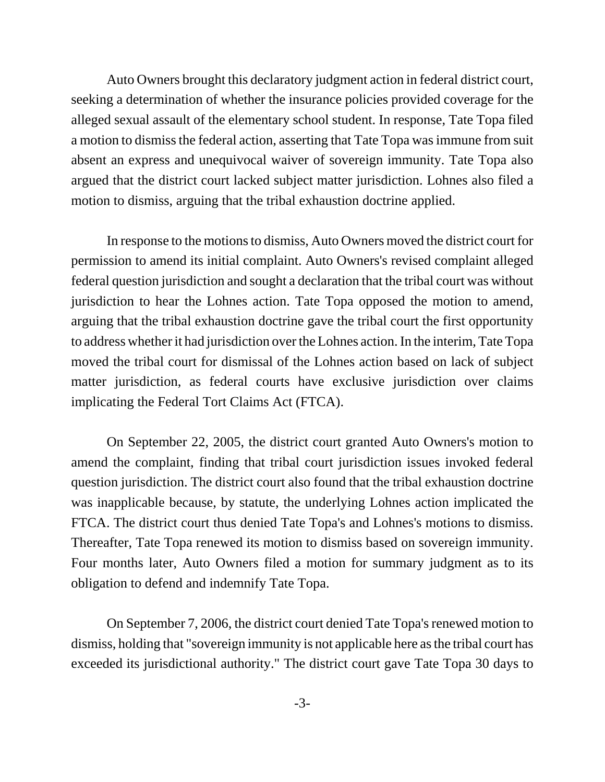Auto Owners brought this declaratory judgment action in federal district court, seeking a determination of whether the insurance policies provided coverage for the alleged sexual assault of the elementary school student. In response, Tate Topa filed a motion to dismiss the federal action, asserting that Tate Topa was immune from suit absent an express and unequivocal waiver of sovereign immunity. Tate Topa also argued that the district court lacked subject matter jurisdiction. Lohnes also filed a motion to dismiss, arguing that the tribal exhaustion doctrine applied.

In response to the motions to dismiss, Auto Owners moved the district court for permission to amend its initial complaint. Auto Owners's revised complaint alleged federal question jurisdiction and sought a declaration that the tribal court was without jurisdiction to hear the Lohnes action. Tate Topa opposed the motion to amend, arguing that the tribal exhaustion doctrine gave the tribal court the first opportunity to address whether it had jurisdiction over the Lohnes action. In the interim, Tate Topa moved the tribal court for dismissal of the Lohnes action based on lack of subject matter jurisdiction, as federal courts have exclusive jurisdiction over claims implicating the Federal Tort Claims Act (FTCA).

On September 22, 2005, the district court granted Auto Owners's motion to amend the complaint, finding that tribal court jurisdiction issues invoked federal question jurisdiction. The district court also found that the tribal exhaustion doctrine was inapplicable because, by statute, the underlying Lohnes action implicated the FTCA. The district court thus denied Tate Topa's and Lohnes's motions to dismiss. Thereafter, Tate Topa renewed its motion to dismiss based on sovereign immunity. Four months later, Auto Owners filed a motion for summary judgment as to its obligation to defend and indemnify Tate Topa.

On September 7, 2006, the district court denied Tate Topa's renewed motion to dismiss, holding that "sovereign immunity is not applicable here as the tribal court has exceeded its jurisdictional authority." The district court gave Tate Topa 30 days to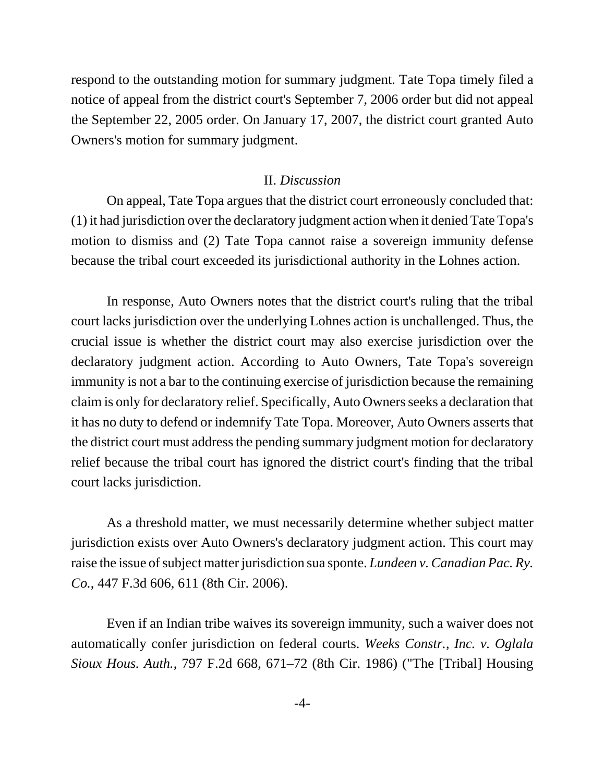respond to the outstanding motion for summary judgment. Tate Topa timely filed a notice of appeal from the district court's September 7, 2006 order but did not appeal the September 22, 2005 order. On January 17, 2007, the district court granted Auto Owners's motion for summary judgment.

#### II. *Discussion*

On appeal, Tate Topa argues that the district court erroneously concluded that: (1) it had jurisdiction over the declaratory judgment action when it denied Tate Topa's motion to dismiss and (2) Tate Topa cannot raise a sovereign immunity defense because the tribal court exceeded its jurisdictional authority in the Lohnes action.

In response, Auto Owners notes that the district court's ruling that the tribal court lacks jurisdiction over the underlying Lohnes action is unchallenged. Thus, the crucial issue is whether the district court may also exercise jurisdiction over the declaratory judgment action. According to Auto Owners, Tate Topa's sovereign immunity is not a bar to the continuing exercise of jurisdiction because the remaining claim is only for declaratory relief. Specifically, Auto Owners seeks a declaration that it has no duty to defend or indemnify Tate Topa. Moreover, Auto Owners asserts that the district court must address the pending summary judgment motion for declaratory relief because the tribal court has ignored the district court's finding that the tribal court lacks jurisdiction.

As a threshold matter, we must necessarily determine whether subject matter jurisdiction exists over Auto Owners's declaratory judgment action. This court may raise the issue of subject matter jurisdiction sua sponte. *Lundeen v. Canadian Pac. Ry. Co.*, 447 F.3d 606, 611 (8th Cir. 2006).

Even if an Indian tribe waives its sovereign immunity, such a waiver does not automatically confer jurisdiction on federal courts. *Weeks Constr., Inc. v. Oglala Sioux Hous. Auth.*, 797 F.2d 668, 671–72 (8th Cir. 1986) ("The [Tribal] Housing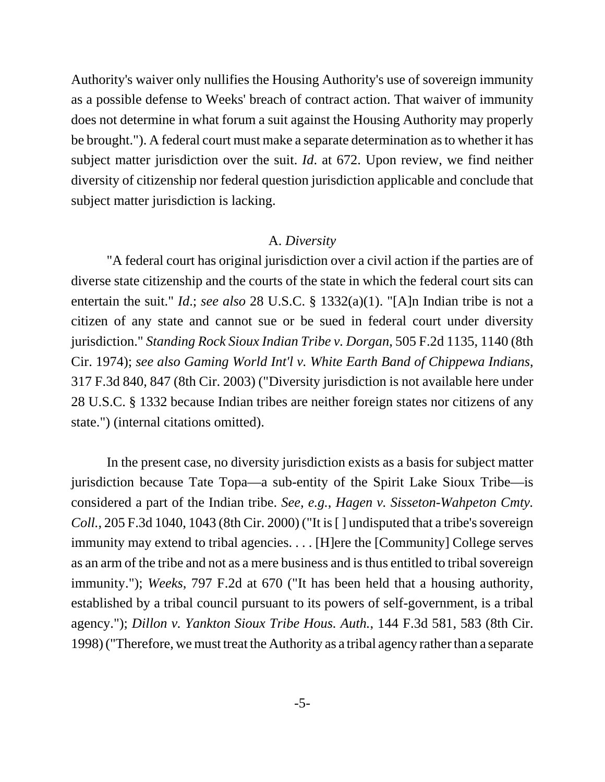Authority's waiver only nullifies the Housing Authority's use of sovereign immunity as a possible defense to Weeks' breach of contract action. That waiver of immunity does not determine in what forum a suit against the Housing Authority may properly be brought."). A federal court must make a separate determination as to whether it has subject matter jurisdiction over the suit. *Id*. at 672. Upon review, we find neither diversity of citizenship nor federal question jurisdiction applicable and conclude that subject matter jurisdiction is lacking.

#### A. *Diversity*

"A federal court has original jurisdiction over a civil action if the parties are of diverse state citizenship and the courts of the state in which the federal court sits can entertain the suit." *Id*.; *see also* 28 U.S.C. § 1332(a)(1). "[A]n Indian tribe is not a citizen of any state and cannot sue or be sued in federal court under diversity jurisdiction." *Standing Rock Sioux Indian Tribe v. Dorgan*, 505 F.2d 1135, 1140 (8th Cir. 1974); *see also Gaming World Int'l v. White Earth Band of Chippewa Indians*, 317 F.3d 840, 847 (8th Cir. 2003) ("Diversity jurisdiction is not available here under 28 U.S.C. § 1332 because Indian tribes are neither foreign states nor citizens of any state.") (internal citations omitted).

In the present case, no diversity jurisdiction exists as a basis for subject matter jurisdiction because Tate Topa—a sub-entity of the Spirit Lake Sioux Tribe—is considered a part of the Indian tribe. *See, e.g.*, *Hagen v. Sisseton-Wahpeton Cmty. Coll.*, 205 F.3d 1040, 1043 (8th Cir. 2000) ("It is [] undisputed that a tribe's sovereign immunity may extend to tribal agencies. . . . [H]ere the [Community] College serves as an arm of the tribe and not as a mere business and is thus entitled to tribal sovereign immunity."); *Weeks*, 797 F.2d at 670 ("It has been held that a housing authority, established by a tribal council pursuant to its powers of self-government, is a tribal agency."); *Dillon v. Yankton Sioux Tribe Hous. Auth.*, 144 F.3d 581, 583 (8th Cir. 1998) ("Therefore, we must treat the Authority as a tribal agency rather than a separate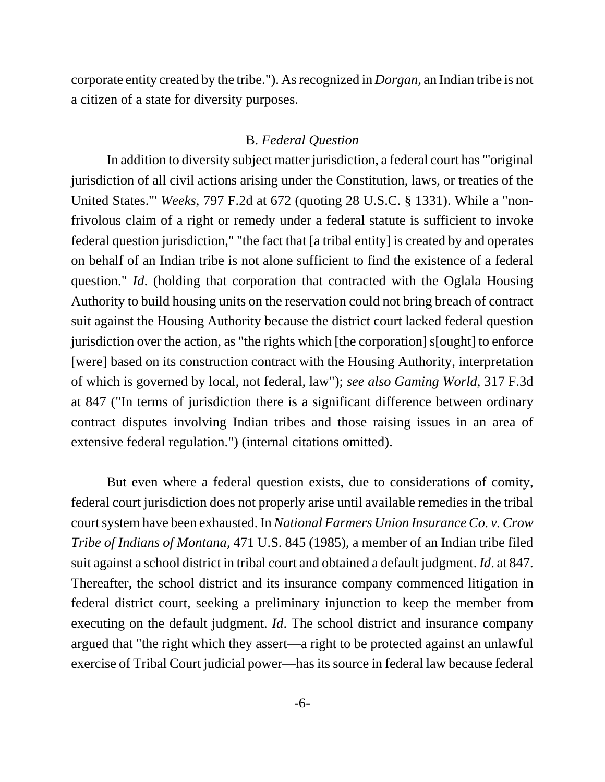corporate entity created by the tribe."). As recognized in *Dorgan*, an Indian tribe is not a citizen of a state for diversity purposes.

#### B. *Federal Question*

In addition to diversity subject matter jurisdiction, a federal court has "'original jurisdiction of all civil actions arising under the Constitution, laws, or treaties of the United States.'" *Weeks*, 797 F.2d at 672 (quoting 28 U.S.C. § 1331). While a "nonfrivolous claim of a right or remedy under a federal statute is sufficient to invoke federal question jurisdiction," "the fact that [a tribal entity] is created by and operates on behalf of an Indian tribe is not alone sufficient to find the existence of a federal question." *Id*. (holding that corporation that contracted with the Oglala Housing Authority to build housing units on the reservation could not bring breach of contract suit against the Housing Authority because the district court lacked federal question jurisdiction over the action, as "the rights which [the corporation] s[ought] to enforce [were] based on its construction contract with the Housing Authority, interpretation of which is governed by local, not federal, law"); *see also Gaming World*, 317 F.3d at 847 ("In terms of jurisdiction there is a significant difference between ordinary contract disputes involving Indian tribes and those raising issues in an area of extensive federal regulation.") (internal citations omitted).

But even where a federal question exists, due to considerations of comity, federal court jurisdiction does not properly arise until available remedies in the tribal court system have been exhausted. In *National Farmers Union Insurance Co. v. Crow Tribe of Indians of Montana*, 471 U.S. 845 (1985), a member of an Indian tribe filed suit against a school district in tribal court and obtained a default judgment. *Id*. at 847. Thereafter, the school district and its insurance company commenced litigation in federal district court, seeking a preliminary injunction to keep the member from executing on the default judgment. *Id*. The school district and insurance company argued that "the right which they assert—a right to be protected against an unlawful exercise of Tribal Court judicial power—has its source in federal law because federal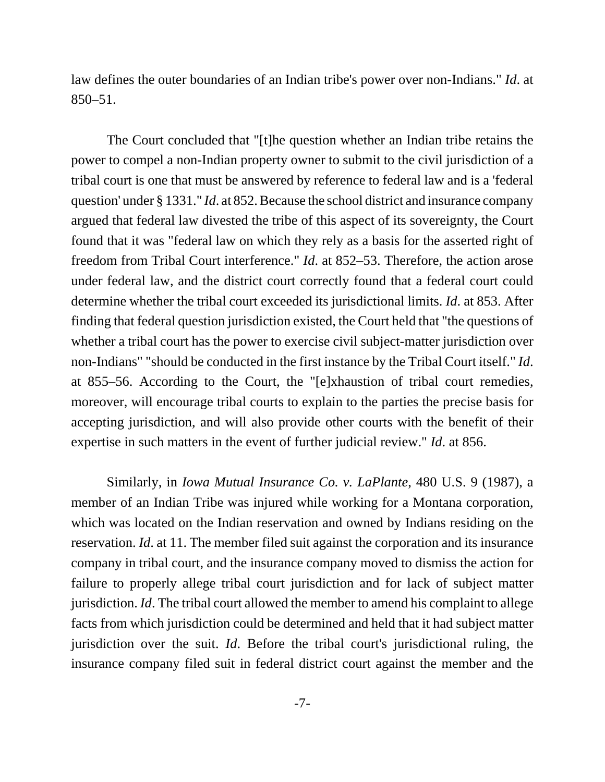law defines the outer boundaries of an Indian tribe's power over non-Indians." *Id*. at 850–51.

The Court concluded that "[t]he question whether an Indian tribe retains the power to compel a non-Indian property owner to submit to the civil jurisdiction of a tribal court is one that must be answered by reference to federal law and is a 'federal question' under § 1331." *Id*. at 852. Because the school district and insurance company argued that federal law divested the tribe of this aspect of its sovereignty, the Court found that it was "federal law on which they rely as a basis for the asserted right of freedom from Tribal Court interference." *Id*. at 852–53. Therefore, the action arose under federal law, and the district court correctly found that a federal court could determine whether the tribal court exceeded its jurisdictional limits. *Id*. at 853. After finding that federal question jurisdiction existed, the Court held that "the questions of whether a tribal court has the power to exercise civil subject-matter jurisdiction over non-Indians" "should be conducted in the first instance by the Tribal Court itself." *Id*. at 855–56. According to the Court, the "[e]xhaustion of tribal court remedies, moreover, will encourage tribal courts to explain to the parties the precise basis for accepting jurisdiction, and will also provide other courts with the benefit of their expertise in such matters in the event of further judicial review." *Id*. at 856.

Similarly, in *Iowa Mutual Insurance Co. v. LaPlante*, 480 U.S. 9 (1987), a member of an Indian Tribe was injured while working for a Montana corporation, which was located on the Indian reservation and owned by Indians residing on the reservation. *Id*. at 11. The member filed suit against the corporation and its insurance company in tribal court, and the insurance company moved to dismiss the action for failure to properly allege tribal court jurisdiction and for lack of subject matter jurisdiction. *Id*. The tribal court allowed the member to amend his complaint to allege facts from which jurisdiction could be determined and held that it had subject matter jurisdiction over the suit. *Id*. Before the tribal court's jurisdictional ruling, the insurance company filed suit in federal district court against the member and the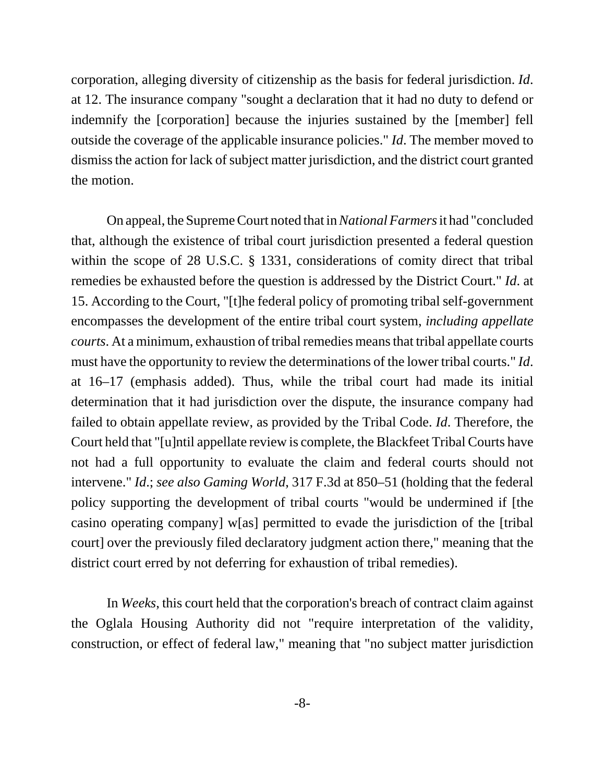corporation, alleging diversity of citizenship as the basis for federal jurisdiction. *Id*. at 12. The insurance company "sought a declaration that it had no duty to defend or indemnify the [corporation] because the injuries sustained by the [member] fell outside the coverage of the applicable insurance policies." *Id*. The member moved to dismiss the action for lack of subject matter jurisdiction, and the district court granted the motion.

On appeal, the Supreme Court noted that in *National Farmers* it had "concluded that, although the existence of tribal court jurisdiction presented a federal question within the scope of 28 U.S.C. § 1331, considerations of comity direct that tribal remedies be exhausted before the question is addressed by the District Court." *Id*. at 15. According to the Court, "[t]he federal policy of promoting tribal self-government encompasses the development of the entire tribal court system, *including appellate courts*. At a minimum, exhaustion of tribal remedies means that tribal appellate courts must have the opportunity to review the determinations of the lower tribal courts." *Id*. at 16–17 (emphasis added). Thus, while the tribal court had made its initial determination that it had jurisdiction over the dispute, the insurance company had failed to obtain appellate review, as provided by the Tribal Code. *Id*. Therefore, the Court held that "[u]ntil appellate review is complete, the Blackfeet Tribal Courts have not had a full opportunity to evaluate the claim and federal courts should not intervene." *Id*.; *see also Gaming World*, 317 F.3d at 850–51 (holding that the federal policy supporting the development of tribal courts "would be undermined if [the casino operating company] w[as] permitted to evade the jurisdiction of the [tribal court] over the previously filed declaratory judgment action there," meaning that the district court erred by not deferring for exhaustion of tribal remedies).

In *Weeks*, this court held that the corporation's breach of contract claim against the Oglala Housing Authority did not "require interpretation of the validity, construction, or effect of federal law," meaning that "no subject matter jurisdiction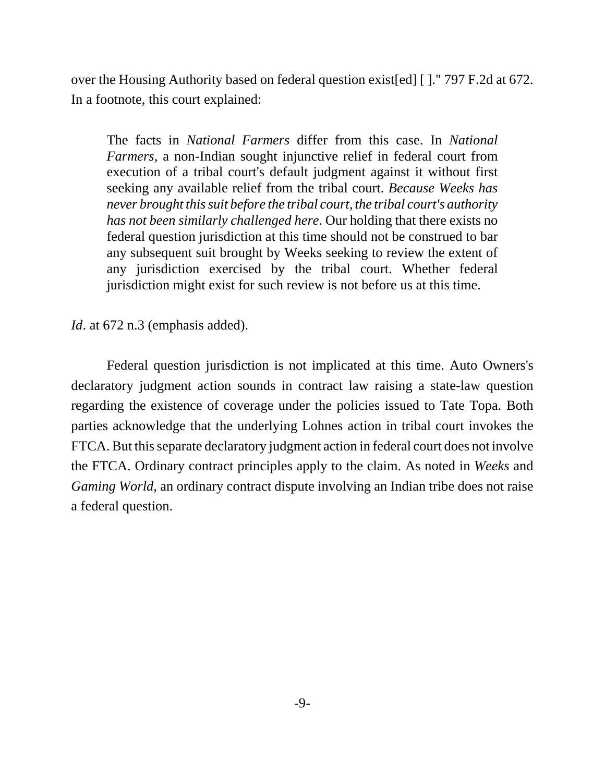over the Housing Authority based on federal question exist[ed] [ ]." 797 F.2d at 672. In a footnote, this court explained:

The facts in *National Farmers* differ from this case. In *National Farmers,* a non-Indian sought injunctive relief in federal court from execution of a tribal court's default judgment against it without first seeking any available relief from the tribal court. *Because Weeks has never brought this suit before the tribal court, the tribal court's authority has not been similarly challenged here*. Our holding that there exists no federal question jurisdiction at this time should not be construed to bar any subsequent suit brought by Weeks seeking to review the extent of any jurisdiction exercised by the tribal court. Whether federal jurisdiction might exist for such review is not before us at this time.

*Id.* at 672 n.3 (emphasis added).

Federal question jurisdiction is not implicated at this time. Auto Owners's declaratory judgment action sounds in contract law raising a state-law question regarding the existence of coverage under the policies issued to Tate Topa. Both parties acknowledge that the underlying Lohnes action in tribal court invokes the FTCA. But this separate declaratory judgment action in federal court does not involve the FTCA. Ordinary contract principles apply to the claim. As noted in *Weeks* and *Gaming World*, an ordinary contract dispute involving an Indian tribe does not raise a federal question.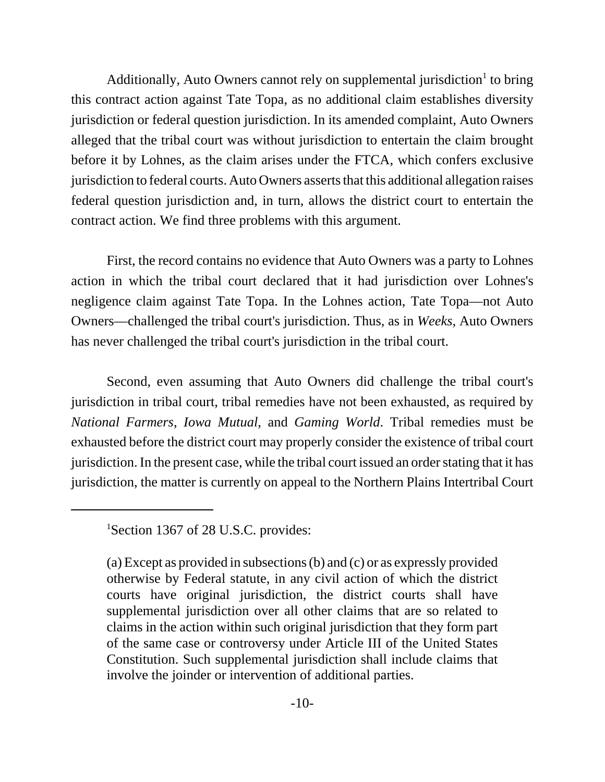Additionally, Auto Owners cannot rely on supplemental jurisdiction<sup>1</sup> to bring this contract action against Tate Topa, as no additional claim establishes diversity jurisdiction or federal question jurisdiction. In its amended complaint, Auto Owners alleged that the tribal court was without jurisdiction to entertain the claim brought before it by Lohnes, as the claim arises under the FTCA, which confers exclusive jurisdiction to federal courts. Auto Owners asserts that this additional allegation raises federal question jurisdiction and, in turn, allows the district court to entertain the contract action. We find three problems with this argument.

First, the record contains no evidence that Auto Owners was a party to Lohnes action in which the tribal court declared that it had jurisdiction over Lohnes's negligence claim against Tate Topa. In the Lohnes action, Tate Topa—not Auto Owners—challenged the tribal court's jurisdiction. Thus, as in *Weeks*, Auto Owners has never challenged the tribal court's jurisdiction in the tribal court.

Second, even assuming that Auto Owners did challenge the tribal court's jurisdiction in tribal court, tribal remedies have not been exhausted, as required by *National Farmers*, *Iowa Mutual*, and *Gaming World*. Tribal remedies must be exhausted before the district court may properly consider the existence of tribal court jurisdiction. In the present case, while the tribal court issued an order stating that it has jurisdiction, the matter is currently on appeal to the Northern Plains Intertribal Court

<sup>&</sup>lt;sup>1</sup>Section 1367 of 28 U.S.C. provides:

<sup>(</sup>a) Except as provided in subsections (b) and (c) or as expressly provided otherwise by Federal statute, in any civil action of which the district courts have original jurisdiction, the district courts shall have supplemental jurisdiction over all other claims that are so related to claims in the action within such original jurisdiction that they form part of the same case or controversy under Article III of the United States Constitution. Such supplemental jurisdiction shall include claims that involve the joinder or intervention of additional parties.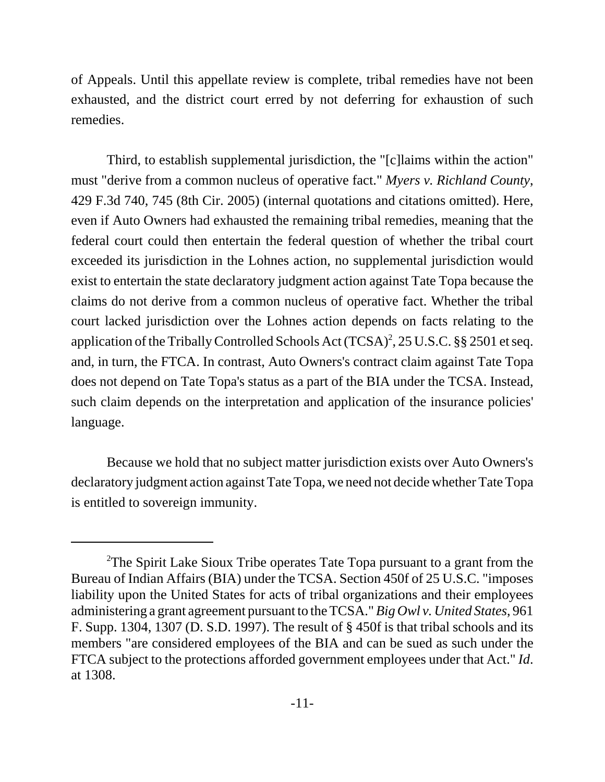of Appeals. Until this appellate review is complete, tribal remedies have not been exhausted, and the district court erred by not deferring for exhaustion of such remedies.

Third, to establish supplemental jurisdiction, the "[c]laims within the action" must "derive from a common nucleus of operative fact." *Myers v. Richland County*, 429 F.3d 740, 745 (8th Cir. 2005) (internal quotations and citations omitted). Here, even if Auto Owners had exhausted the remaining tribal remedies, meaning that the federal court could then entertain the federal question of whether the tribal court exceeded its jurisdiction in the Lohnes action, no supplemental jurisdiction would exist to entertain the state declaratory judgment action against Tate Topa because the claims do not derive from a common nucleus of operative fact. Whether the tribal court lacked jurisdiction over the Lohnes action depends on facts relating to the application of the Tribally Controlled Schools Act  $(TCSA)^2$ , 25 U.S.C. §§ 2501 et seq. and, in turn, the FTCA. In contrast, Auto Owners's contract claim against Tate Topa does not depend on Tate Topa's status as a part of the BIA under the TCSA. Instead, such claim depends on the interpretation and application of the insurance policies' language.

Because we hold that no subject matter jurisdiction exists over Auto Owners's declaratory judgment action against Tate Topa, we need not decide whether Tate Topa is entitled to sovereign immunity.

<sup>&</sup>lt;sup>2</sup>The Spirit Lake Sioux Tribe operates Tate Topa pursuant to a grant from the Bureau of Indian Affairs (BIA) under the TCSA. Section 450f of 25 U.S.C. "imposes liability upon the United States for acts of tribal organizations and their employees administering a grant agreement pursuant to the TCSA." *Big Owl v. United States*, 961 F. Supp. 1304, 1307 (D. S.D. 1997). The result of § 450f is that tribal schools and its members "are considered employees of the BIA and can be sued as such under the FTCA subject to the protections afforded government employees under that Act." *Id*. at 1308.